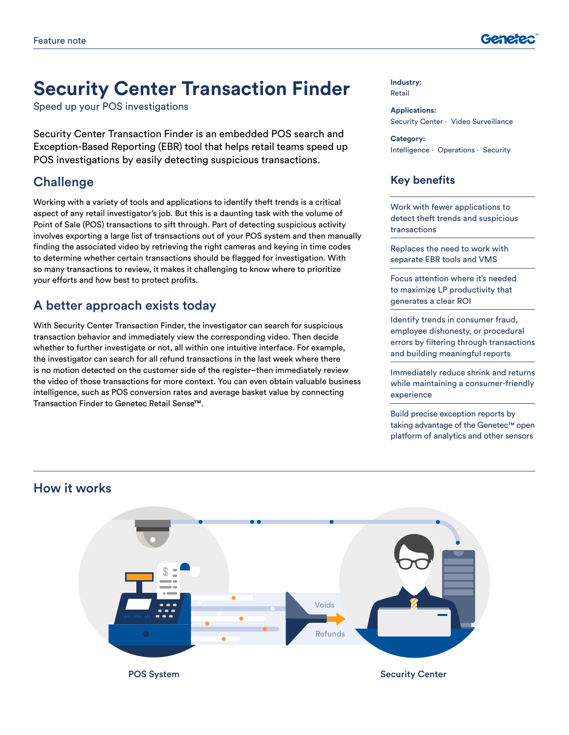

# **Security Center Transaction Finder**

Speed up your POS investigations

Security Center Transaction Finder is an embedded POS search and Exception-Based Reporting (EBR) tool that helps retail teams speed up POS investigations by easily detecting suspicious transactions.

#### **Challenge**

Working with a variety of tools and applications to identify theft trends is a critical aspect of any retail investigator's job. But this is a daunting task with the volume of Point of Sale (POS) transactions to sift through. Part of detecting suspicious activity involves exporting a large list of transactions out of your POS system and then manually finding the associated video by retrieving the right cameras and keying in time codes to determine whether certain transactions should be flagged for investigation. With so many transactions to review, it makes it challenging to know where to prioritize your efforts and how best to protect profits.

# A better approach exists today

With Security Center Transaction Finder, the investigator can search for suspicious transaction behavior and immediately view the corresponding video. Then decide whether to further investigate or not, all within one intuitive interface. For example, the investigator can search for all refund transactions in the last week where there is no motion detected on the customer side of the register–then immediately review the video of those transactions for more context. You can even obtain valuable business intelligence, such as POS conversion rates and average basket value by connecting Transaction Finder to Genetec Retail Sense™.

#### **Industry:** Retail

**Applications:** Security Center ⋅ Video Surveillance

**Category:** Intelligence ⋅ Operations ⋅ Security

#### **Key benefits**

Work with fewer applications to detect theft trends and suspicious transactions

Replaces the need to work with separate EBR tools and VMS

Focus attention where it's needed to maximize LP productivity that generates a clear ROI

Identify trends in consumer fraud, employee dishonesty, or procedural errors by filtering through transactions and building meaningful reports

Immediately reduce shrink and returns while maintaining a consumer-friendly experience

Build precise exception reports by taking advantage of the Genetec™ open platform of analytics and other sensors



#### How it works